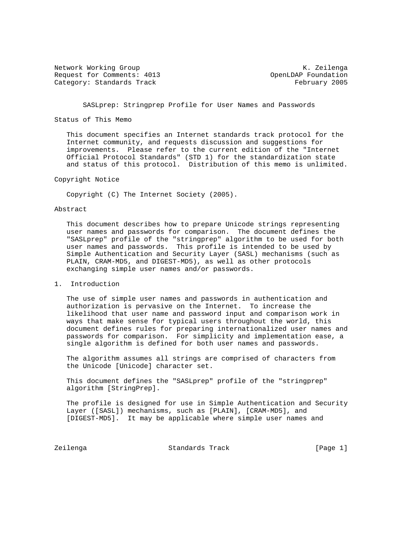Network Working Group Network Working Group Network Alexander Manual Association Alexander Manual Alexander Ma Request for Comments: 4013 OpenLDAP Foundation Category: Standards Track February 2005

SASLprep: Stringprep Profile for User Names and Passwords

## Status of This Memo

 This document specifies an Internet standards track protocol for the Internet community, and requests discussion and suggestions for improvements. Please refer to the current edition of the "Internet Official Protocol Standards" (STD 1) for the standardization state and status of this protocol. Distribution of this memo is unlimited.

Copyright Notice

Copyright (C) The Internet Society (2005).

## Abstract

 This document describes how to prepare Unicode strings representing user names and passwords for comparison. The document defines the "SASLprep" profile of the "stringprep" algorithm to be used for both user names and passwords. This profile is intended to be used by Simple Authentication and Security Layer (SASL) mechanisms (such as PLAIN, CRAM-MD5, and DIGEST-MD5), as well as other protocols exchanging simple user names and/or passwords.

1. Introduction

 The use of simple user names and passwords in authentication and authorization is pervasive on the Internet. To increase the likelihood that user name and password input and comparison work in ways that make sense for typical users throughout the world, this document defines rules for preparing internationalized user names and passwords for comparison. For simplicity and implementation ease, a single algorithm is defined for both user names and passwords.

 The algorithm assumes all strings are comprised of characters from the Unicode [Unicode] character set.

 This document defines the "SASLprep" profile of the "stringprep" algorithm [StringPrep].

 The profile is designed for use in Simple Authentication and Security Layer ([SASL]) mechanisms, such as [PLAIN], [CRAM-MD5], and [DIGEST-MD5]. It may be applicable where simple user names and

Zeilenga Standards Track [Page 1]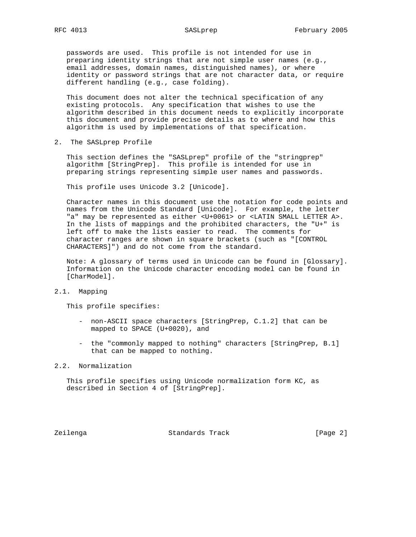passwords are used. This profile is not intended for use in preparing identity strings that are not simple user names (e.g., email addresses, domain names, distinguished names), or where identity or password strings that are not character data, or require different handling (e.g., case folding).

 This document does not alter the technical specification of any existing protocols. Any specification that wishes to use the algorithm described in this document needs to explicitly incorporate this document and provide precise details as to where and how this algorithm is used by implementations of that specification.

2. The SASLprep Profile

 This section defines the "SASLprep" profile of the "stringprep" algorithm [StringPrep]. This profile is intended for use in preparing strings representing simple user names and passwords.

This profile uses Unicode 3.2 [Unicode].

 Character names in this document use the notation for code points and names from the Unicode Standard [Unicode]. For example, the letter "a" may be represented as either <U+0061> or <LATIN SMALL LETTER A>. In the lists of mappings and the prohibited characters, the "U+" is left off to make the lists easier to read. The comments for character ranges are shown in square brackets (such as "[CONTROL CHARACTERS]") and do not come from the standard.

 Note: A glossary of terms used in Unicode can be found in [Glossary]. Information on the Unicode character encoding model can be found in [CharModel].

2.1. Mapping

This profile specifies:

- non-ASCII space characters [StringPrep, C.1.2] that can be mapped to SPACE (U+0020), and
- the "commonly mapped to nothing" characters [StringPrep, B.1] that can be mapped to nothing.

## 2.2. Normalization

 This profile specifies using Unicode normalization form KC, as described in Section 4 of [StringPrep].

Zeilenga Standards Track [Page 2]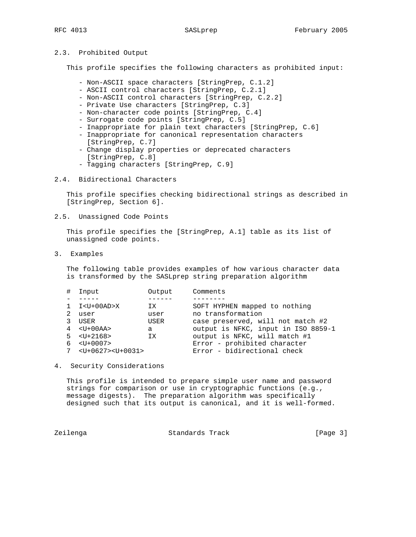## 2.3. Prohibited Output

This profile specifies the following characters as prohibited input:

- Non-ASCII space characters [StringPrep, C.1.2]
- ASCII control characters [StringPrep, C.2.1]
- Non-ASCII control characters [StringPrep, C.2.2]
- Private Use characters [StringPrep, C.3]
- Non-character code points [StringPrep, C.4]
- Surrogate code points [StringPrep, C.5]
- Inappropriate for plain text characters [StringPrep, C.6]
- Inappropriate for canonical representation characters [StringPrep, C.7]
- Change display properties or deprecated characters [StringPrep, C.8]
- Tagging characters [StringPrep, C.9]
- 2.4. Bidirectional Characters

 This profile specifies checking bidirectional strings as described in [StringPrep, Section 6].

2.5. Unassigned Code Points

 This profile specifies the [StringPrep, A.1] table as its list of unassigned code points.

3. Examples

 The following table provides examples of how various character data is transformed by the SASLprep string preparation algorithm

| #  | Input                         | Output | Comments                            |
|----|-------------------------------|--------|-------------------------------------|
|    |                               |        |                                     |
|    | $1 \tI < U + 00AD > X$        | ΙX.    | SOFT HYPHEN mapped to nothing       |
|    | user                          | user   | no transformation                   |
|    | USER                          | USER   | case preserved, will not match #2   |
|    | $4 \times U + 00A$            | a      | output is NFKC, input in ISO 8859-1 |
|    | $5 \times \text{UI} + 2168$   | ΙX     | output is NFKC, will match #1       |
| б. | $<$ U+0007>                   |        | Error - prohibited character        |
| 7  | $<$ U+0627> <u+0031></u+0031> |        | Error - bidirectional check         |
|    |                               |        |                                     |

4. Security Considerations

 This profile is intended to prepare simple user name and password strings for comparison or use in cryptographic functions (e.g., message digests). The preparation algorithm was specifically designed such that its output is canonical, and it is well-formed.

Zeilenga Standards Track [Page 3]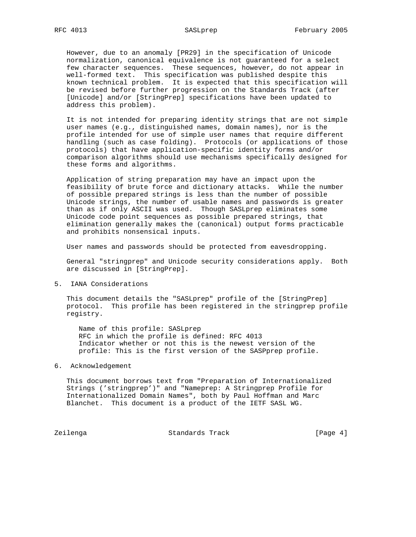However, due to an anomaly [PR29] in the specification of Unicode normalization, canonical equivalence is not guaranteed for a select few character sequences. These sequences, however, do not appear in well-formed text. This specification was published despite this known technical problem. It is expected that this specification will be revised before further progression on the Standards Track (after [Unicode] and/or [StringPrep] specifications have been updated to address this problem).

 It is not intended for preparing identity strings that are not simple user names (e.g., distinguished names, domain names), nor is the profile intended for use of simple user names that require different handling (such as case folding). Protocols (or applications of those protocols) that have application-specific identity forms and/or comparison algorithms should use mechanisms specifically designed for these forms and algorithms.

 Application of string preparation may have an impact upon the feasibility of brute force and dictionary attacks. While the number of possible prepared strings is less than the number of possible Unicode strings, the number of usable names and passwords is greater than as if only ASCII was used. Though SASLprep eliminates some Unicode code point sequences as possible prepared strings, that elimination generally makes the (canonical) output forms practicable and prohibits nonsensical inputs.

User names and passwords should be protected from eavesdropping.

 General "stringprep" and Unicode security considerations apply. Both are discussed in [StringPrep].

5. IANA Considerations

This document details the "SASLprep" profile of the [StringPrep] protocol. This profile has been registered in the stringprep profile registry.

 Name of this profile: SASLprep RFC in which the profile is defined: RFC 4013 Indicator whether or not this is the newest version of the profile: This is the first version of the SASPprep profile.

6. Acknowledgement

 This document borrows text from "Preparation of Internationalized Strings ('stringprep')" and "Nameprep: A Stringprep Profile for Internationalized Domain Names", both by Paul Hoffman and Marc Blanchet. This document is a product of the IETF SASL WG.

Zeilenga Standards Track [Page 4]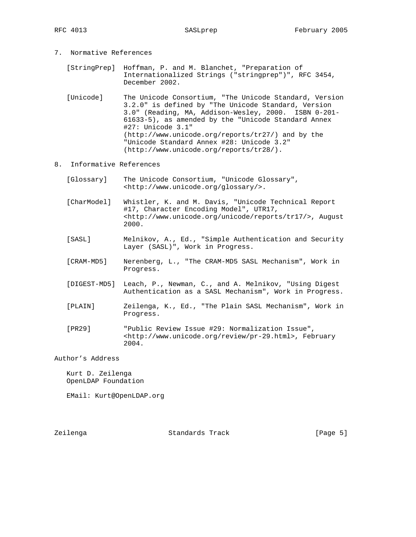[StringPrep] Hoffman, P. and M. Blanchet, "Preparation of Internationalized Strings ("stringprep")", RFC 3454, December 2002.

- [Unicode] The Unicode Consortium, "The Unicode Standard, Version 3.2.0" is defined by "The Unicode Standard, Version 3.0" (Reading, MA, Addison-Wesley, 2000. ISBN 0-201- 61633-5), as amended by the "Unicode Standard Annex #27: Unicode 3.1" (http://www.unicode.org/reports/tr27/) and by the "Unicode Standard Annex #28: Unicode 3.2" (http://www.unicode.org/reports/tr28/).
- 8. Informative References
	- [Glossary] The Unicode Consortium, "Unicode Glossary", <http://www.unicode.org/glossary/>.
	- [CharModel] Whistler, K. and M. Davis, "Unicode Technical Report #17, Character Encoding Model", UTR17, <http://www.unicode.org/unicode/reports/tr17/>, August 2000.
	- [SASL] Melnikov, A., Ed., "Simple Authentication and Security Layer (SASL)", Work in Progress.
	- [CRAM-MD5] Nerenberg, L., "The CRAM-MD5 SASL Mechanism", Work in Progress.
	- [DIGEST-MD5] Leach, P., Newman, C., and A. Melnikov, "Using Digest Authentication as a SASL Mechanism", Work in Progress.
	- [PLAIN] Zeilenga, K., Ed., "The Plain SASL Mechanism", Work in Progress.
	- [PR29] "Public Review Issue #29: Normalization Issue", <http://www.unicode.org/review/pr-29.html>, February 2004.

Author's Address

 Kurt D. Zeilenga OpenLDAP Foundation

EMail: Kurt@OpenLDAP.org

Zeilenga Standards Track [Page 5]